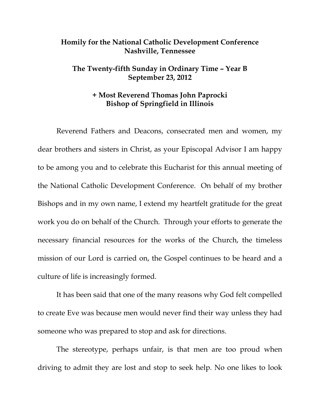## **Homily for the National Catholic Development Conference Nashville, Tennessee**

## **The Twenty-fifth Sunday in Ordinary Time – Year B September 23, 2012**

## **+ Most Reverend Thomas John Paprocki Bishop of Springfield in Illinois**

 Reverend Fathers and Deacons, consecrated men and women, my dear brothers and sisters in Christ, as your Episcopal Advisor I am happy to be among you and to celebrate this Eucharist for this annual meeting of the National Catholic Development Conference. On behalf of my brother Bishops and in my own name, I extend my heartfelt gratitude for the great work you do on behalf of the Church. Through your efforts to generate the necessary financial resources for the works of the Church, the timeless mission of our Lord is carried on, the Gospel continues to be heard and a culture of life is increasingly formed.

It has been said that one of the many reasons why God felt compelled to create Eve was because men would never find their way unless they had someone who was prepared to stop and ask for directions.

The stereotype, perhaps unfair, is that men are too proud when driving to admit they are lost and stop to seek help. No one likes to look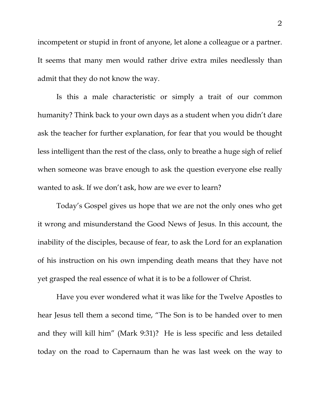incompetent or stupid in front of anyone, let alone a colleague or a partner. It seems that many men would rather drive extra miles needlessly than admit that they do not know the way.

Is this a male characteristic or simply a trait of our common humanity? Think back to your own days as a student when you didn't dare ask the teacher for further explanation, for fear that you would be thought less intelligent than the rest of the class, only to breathe a huge sigh of relief when someone was brave enough to ask the question everyone else really wanted to ask. If we don't ask, how are we ever to learn?

Today's Gospel gives us hope that we are not the only ones who get it wrong and misunderstand the Good News of Jesus. In this account, the inability of the disciples, because of fear, to ask the Lord for an explanation of his instruction on his own impending death means that they have not yet grasped the real essence of what it is to be a follower of Christ.

 Have you ever wondered what it was like for the Twelve Apostles to hear Jesus tell them a second time, "The Son is to be handed over to men and they will kill him" (Mark 9:31)? He is less specific and less detailed today on the road to Capernaum than he was last week on the way to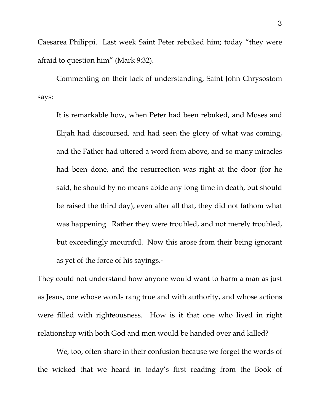Caesarea Philippi. Last week Saint Peter rebuked him; today "they were afraid to question him" (Mark 9:32).

 Commenting on their lack of understanding, Saint John Chrysostom says:

It is remarkable how, when Peter had been rebuked, and Moses and Elijah had discoursed, and had seen the glory of what was coming, and the Father had uttered a word from above, and so many miracles had been done, and the resurrection was right at the door (for he said, he should by no means abide any long time in death, but should be raised the third day), even after all that, they did not fathom what was happening. Rather they were troubled, and not merely troubled, but exceedingly mournful. Now this arose from their being ignorant as yet of the force of his sayings.1

They could not understand how anyone would want to harm a man as just as Jesus, one whose words rang true and with authority, and whose actions were filled with righteousness. How is it that one who lived in right relationship with both God and men would be handed over and killed?

 We, too, often share in their confusion because we forget the words of the wicked that we heard in today's first reading from the Book of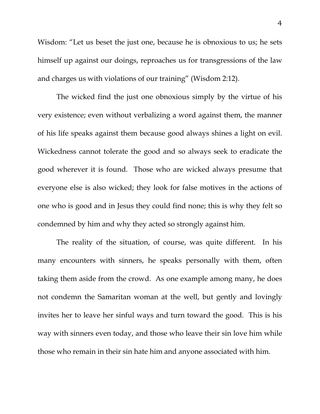Wisdom: "Let us beset the just one, because he is obnoxious to us; he sets himself up against our doings, reproaches us for transgressions of the law and charges us with violations of our training" (Wisdom 2:12).

 The wicked find the just one obnoxious simply by the virtue of his very existence; even without verbalizing a word against them, the manner of his life speaks against them because good always shines a light on evil. Wickedness cannot tolerate the good and so always seek to eradicate the good wherever it is found. Those who are wicked always presume that everyone else is also wicked; they look for false motives in the actions of one who is good and in Jesus they could find none; this is why they felt so condemned by him and why they acted so strongly against him.

 The reality of the situation, of course, was quite different. In his many encounters with sinners, he speaks personally with them, often taking them aside from the crowd. As one example among many, he does not condemn the Samaritan woman at the well, but gently and lovingly invites her to leave her sinful ways and turn toward the good. This is his way with sinners even today, and those who leave their sin love him while those who remain in their sin hate him and anyone associated with him.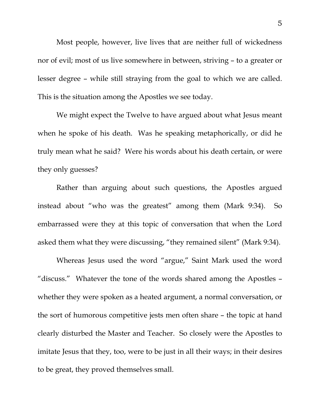Most people, however, live lives that are neither full of wickedness nor of evil; most of us live somewhere in between, striving – to a greater or lesser degree – while still straying from the goal to which we are called. This is the situation among the Apostles we see today.

We might expect the Twelve to have argued about what Jesus meant when he spoke of his death. Was he speaking metaphorically, or did he truly mean what he said? Were his words about his death certain, or were they only guesses?

 Rather than arguing about such questions, the Apostles argued instead about "who was the greatest" among them (Mark 9:34). So embarrassed were they at this topic of conversation that when the Lord asked them what they were discussing, "they remained silent" (Mark 9:34).

 Whereas Jesus used the word "argue," Saint Mark used the word "discuss." Whatever the tone of the words shared among the Apostles – whether they were spoken as a heated argument, a normal conversation, or the sort of humorous competitive jests men often share – the topic at hand clearly disturbed the Master and Teacher. So closely were the Apostles to imitate Jesus that they, too, were to be just in all their ways; in their desires to be great, they proved themselves small.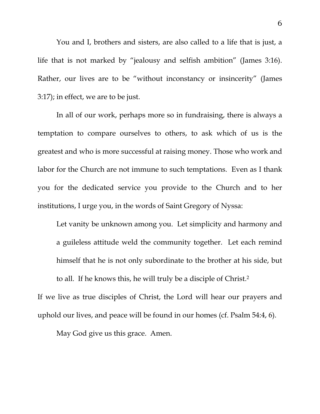You and I, brothers and sisters, are also called to a life that is just, a life that is not marked by "jealousy and selfish ambition" (James 3:16). Rather, our lives are to be "without inconstancy or insincerity" (James 3:17); in effect, we are to be just.

 In all of our work, perhaps more so in fundraising, there is always a temptation to compare ourselves to others, to ask which of us is the greatest and who is more successful at raising money. Those who work and labor for the Church are not immune to such temptations. Even as I thank you for the dedicated service you provide to the Church and to her institutions, I urge you, in the words of Saint Gregory of Nyssa:

Let vanity be unknown among you. Let simplicity and harmony and a guileless attitude weld the community together. Let each remind himself that he is not only subordinate to the brother at his side, but to all. If he knows this, he will truly be a disciple of Christ.2

If we live as true disciples of Christ, the Lord will hear our prayers and uphold our lives, and peace will be found in our homes (cf. Psalm 54:4, 6).

May God give us this grace. Amen.